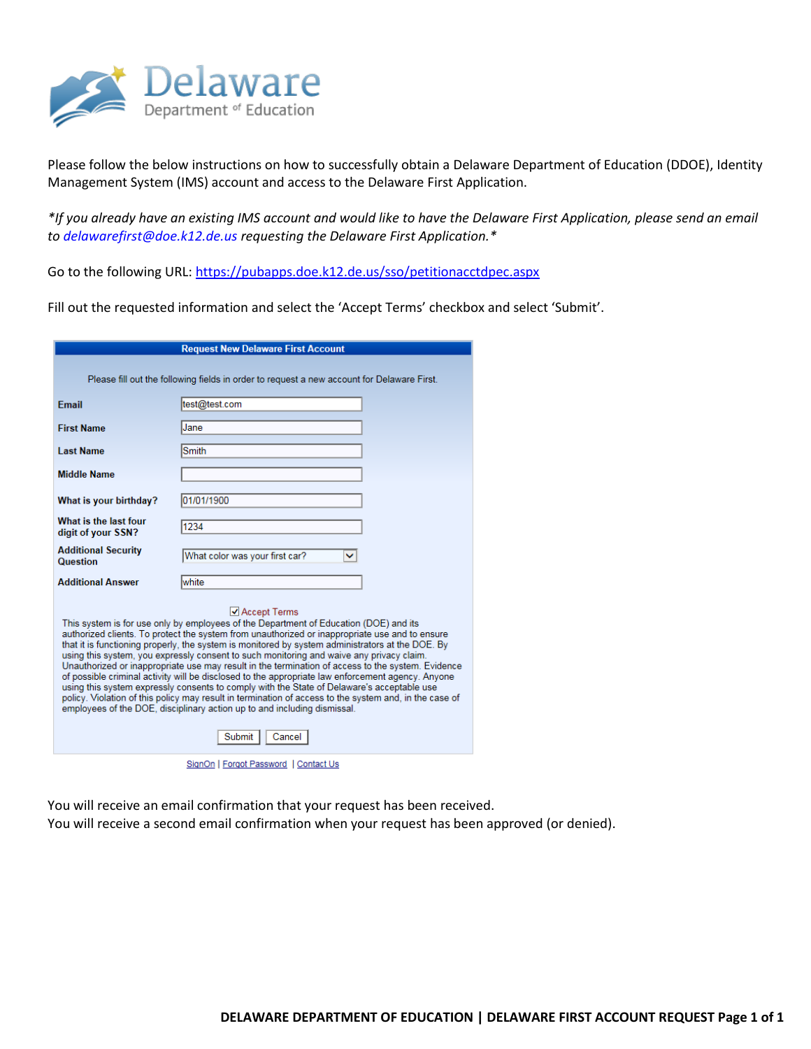

Please follow the below instructions on how to successfully obtain a Delaware Department of Education (DDOE), Identity Management System (IMS) account and access to the Delaware First Application.

*\*If you already have an existing IMS account and would like to have the Delaware First Application, please send an email to [delawarefirst](mailto:XXXX@doe.k12.de.us)@doe.k12.de.us requesting the Delaware First Application.\**

Go to the following URL[: https://pubapps.doe.k12.de.us/sso/petitionacctdpec.aspx](https://pubapps.doe.k12.de.us/sso/petitionacctdpec.aspx)

Fill out the requested information and select the 'Accept Terms' checkbox and select 'Submit'.

| <b>Request New Delaware First Account</b>                                                                                                                                                                                                                                                                                                                                                                                                                                                                                                                                                                                                                                                                                                                                                                                                                                                                                   |                                     |  |  |
|-----------------------------------------------------------------------------------------------------------------------------------------------------------------------------------------------------------------------------------------------------------------------------------------------------------------------------------------------------------------------------------------------------------------------------------------------------------------------------------------------------------------------------------------------------------------------------------------------------------------------------------------------------------------------------------------------------------------------------------------------------------------------------------------------------------------------------------------------------------------------------------------------------------------------------|-------------------------------------|--|--|
| Please fill out the following fields in order to request a new account for Delaware First.                                                                                                                                                                                                                                                                                                                                                                                                                                                                                                                                                                                                                                                                                                                                                                                                                                  |                                     |  |  |
| <b>Fmail</b>                                                                                                                                                                                                                                                                                                                                                                                                                                                                                                                                                                                                                                                                                                                                                                                                                                                                                                                | test@test.com                       |  |  |
| <b>First Name</b>                                                                                                                                                                                                                                                                                                                                                                                                                                                                                                                                                                                                                                                                                                                                                                                                                                                                                                           | Jane                                |  |  |
| <b>Last Name</b>                                                                                                                                                                                                                                                                                                                                                                                                                                                                                                                                                                                                                                                                                                                                                                                                                                                                                                            | Smith                               |  |  |
| <b>Middle Name</b>                                                                                                                                                                                                                                                                                                                                                                                                                                                                                                                                                                                                                                                                                                                                                                                                                                                                                                          |                                     |  |  |
| What is your birthday?                                                                                                                                                                                                                                                                                                                                                                                                                                                                                                                                                                                                                                                                                                                                                                                                                                                                                                      | 01/01/1900                          |  |  |
| What is the last four<br>digit of your SSN?                                                                                                                                                                                                                                                                                                                                                                                                                                                                                                                                                                                                                                                                                                                                                                                                                                                                                 | 1234                                |  |  |
| <b>Additional Security</b><br><b>Question</b>                                                                                                                                                                                                                                                                                                                                                                                                                                                                                                                                                                                                                                                                                                                                                                                                                                                                               | What color was your first car?<br>v |  |  |
| <b>Additional Answer</b>                                                                                                                                                                                                                                                                                                                                                                                                                                                                                                                                                                                                                                                                                                                                                                                                                                                                                                    | white                               |  |  |
| ✔ Accept Terms<br>This system is for use only by employees of the Department of Education (DOE) and its<br>authorized clients. To protect the system from unauthorized or inappropriate use and to ensure<br>that it is functioning properly, the system is monitored by system administrators at the DOE. By<br>using this system, you expressly consent to such monitoring and waive any privacy claim.<br>Unauthorized or inappropriate use may result in the termination of access to the system. Evidence<br>of possible criminal activity will be disclosed to the appropriate law enforcement agency. Anyone<br>using this system expressly consents to comply with the State of Delaware's acceptable use<br>policy. Violation of this policy may result in termination of access to the system and, in the case of<br>employees of the DOE, disciplinary action up to and including dismissal.<br>Submit<br>Cancel |                                     |  |  |
| SignOn   Forgot Password   Contact Us                                                                                                                                                                                                                                                                                                                                                                                                                                                                                                                                                                                                                                                                                                                                                                                                                                                                                       |                                     |  |  |

You will receive an email confirmation that your request has been received.

You will receive a second email confirmation when your request has been approved (or denied).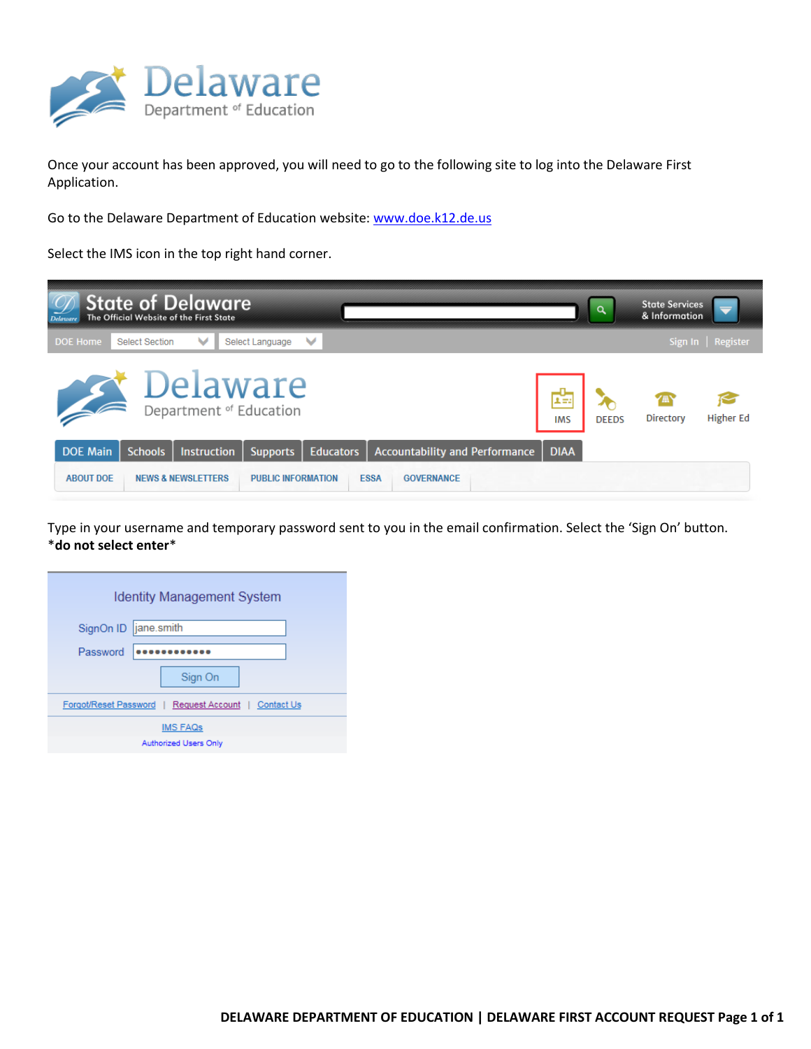

Once your account has been approved, you will need to go to the following site to log into the Delaware First Application.

Go to the Delaware Department of Education website: [www.doe.k12.de.us](http://www.doe.k12.de.us/)

Select the IMS icon in the top right hand corner.



Type in your username and temporary password sent to you in the email confirmation. Select the 'Sign On' button. \***do not select enter**\*

| <b>Identity Management System</b>                    |  |  |  |
|------------------------------------------------------|--|--|--|
| SignOn ID  jane.smith                                |  |  |  |
| Password                                             |  |  |  |
| Sign On                                              |  |  |  |
| Forgot/Reset Password   Request Account   Contact Us |  |  |  |
| <b>IMS FAQs</b><br>Authorized Users Only             |  |  |  |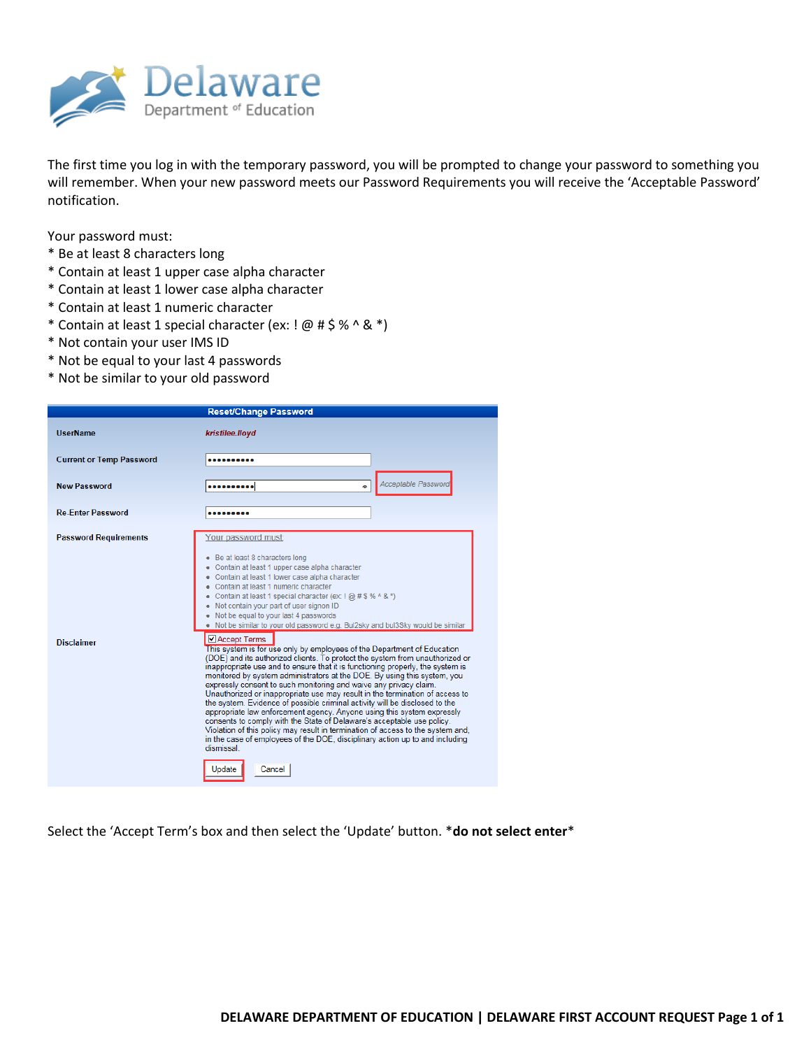

The first time you log in with the temporary password, you will be prompted to change your password to something you will remember. When your new password meets our Password Requirements you will receive the 'Acceptable Password' notification.

Your password must:

- \* Be at least 8 characters long
- \* Contain at least 1 upper case alpha character
- \* Contain at least 1 lower case alpha character
- \* Contain at least 1 numeric character
- \* Contain at least 1 special character (ex: ! @ # \$ % ^ & \*)
- \* Not contain your user IMS ID
- \* Not be equal to your last 4 passwords
- \* Not be similar to your old password

|                                                   | <b>Reset/Change Password</b>                                                                                                                                                                                                                                                                                                                                                                                                                                                                                                                                                                                                                                                                                                                                                                                                                                                                                                                                                                                                                                                                                                                                                                                                                                                                                                                                                        |
|---------------------------------------------------|-------------------------------------------------------------------------------------------------------------------------------------------------------------------------------------------------------------------------------------------------------------------------------------------------------------------------------------------------------------------------------------------------------------------------------------------------------------------------------------------------------------------------------------------------------------------------------------------------------------------------------------------------------------------------------------------------------------------------------------------------------------------------------------------------------------------------------------------------------------------------------------------------------------------------------------------------------------------------------------------------------------------------------------------------------------------------------------------------------------------------------------------------------------------------------------------------------------------------------------------------------------------------------------------------------------------------------------------------------------------------------------|
| <b>UserName</b>                                   | kristilee.lloyd                                                                                                                                                                                                                                                                                                                                                                                                                                                                                                                                                                                                                                                                                                                                                                                                                                                                                                                                                                                                                                                                                                                                                                                                                                                                                                                                                                     |
| <b>Current or Temp Password</b>                   |                                                                                                                                                                                                                                                                                                                                                                                                                                                                                                                                                                                                                                                                                                                                                                                                                                                                                                                                                                                                                                                                                                                                                                                                                                                                                                                                                                                     |
| <b>New Password</b>                               | <b>Acceptable Password</b><br><br>÷                                                                                                                                                                                                                                                                                                                                                                                                                                                                                                                                                                                                                                                                                                                                                                                                                                                                                                                                                                                                                                                                                                                                                                                                                                                                                                                                                 |
| <b>Re-Enter Password</b>                          |                                                                                                                                                                                                                                                                                                                                                                                                                                                                                                                                                                                                                                                                                                                                                                                                                                                                                                                                                                                                                                                                                                                                                                                                                                                                                                                                                                                     |
| <b>Password Requirements</b><br><b>Disclaimer</b> | Your password must:<br>Be at least 8 characters long<br>• Contain at least 1 upper case alpha character<br>Contain at least 1 lower case alpha character<br>Contain at least 1 numeric character<br>Contain at least 1 special character (ex: $(Q)$ # \$ % ^ & *)<br>• Not contain your part of user signon ID<br>• Not be equal to your last 4 passwords<br>. Not be similar to your old password e.g. Bul2sky and bul3Sky would be similar<br>■ Accept Terms<br>This system is for use only by employees of the Department of Education<br>(DOE) and its authorized clients. To protect the system from unauthorized or<br>inappropriate use and to ensure that it is functioning properly, the system is<br>monitored by system administrators at the DOE. By using this system, you<br>expressly consent to such monitoring and waive any privacy claim.<br>Unauthorized or inappropriate use may result in the termination of access to<br>the system. Evidence of possible criminal activity will be disclosed to the<br>appropriate law enforcement agency. Anyone using this system expressly<br>consents to comply with the State of Delaware's acceptable use policy.<br>Violation of this policy may result in termination of access to the system and,<br>in the case of employees of the DOE, disciplinary action up to and including<br>dismissal<br>Cancel<br>Update |

Select the 'Accept Term's box and then select the 'Update' button. \***do not select enter**\*